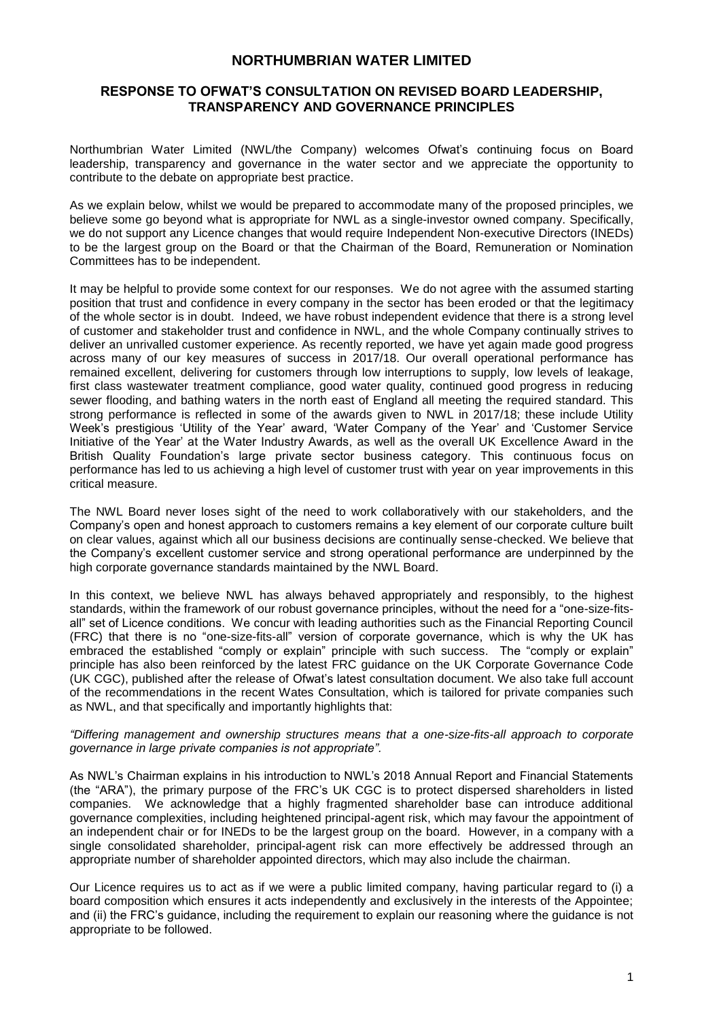# **NORTHUMBRIAN WATER LIMITED**

# **RESPONSE TO OFWAT'S CONSULTATION ON REVISED BOARD LEADERSHIP, TRANSPARENCY AND GOVERNANCE PRINCIPLES**

Northumbrian Water Limited (NWL/the Company) welcomes Ofwat's continuing focus on Board leadership, transparency and governance in the water sector and we appreciate the opportunity to contribute to the debate on appropriate best practice.

As we explain below, whilst we would be prepared to accommodate many of the proposed principles, we believe some go beyond what is appropriate for NWL as a single-investor owned company. Specifically, we do not support any Licence changes that would require Independent Non-executive Directors (INEDs) to be the largest group on the Board or that the Chairman of the Board, Remuneration or Nomination Committees has to be independent.

It may be helpful to provide some context for our responses. We do not agree with the assumed starting position that trust and confidence in every company in the sector has been eroded or that the legitimacy of the whole sector is in doubt. Indeed, we have robust independent evidence that there is a strong level of customer and stakeholder trust and confidence in NWL, and the whole Company continually strives to deliver an unrivalled customer experience. As recently reported, we have yet again made good progress across many of our key measures of success in 2017/18. Our overall operational performance has remained excellent, delivering for customers through low interruptions to supply, low levels of leakage, first class wastewater treatment compliance, good water quality, continued good progress in reducing sewer flooding, and bathing waters in the north east of England all meeting the required standard. This strong performance is reflected in some of the awards given to NWL in 2017/18; these include Utility Week's prestigious 'Utility of the Year' award, 'Water Company of the Year' and 'Customer Service Initiative of the Year' at the Water Industry Awards, as well as the overall UK Excellence Award in the British Quality Foundation's large private sector business category. This continuous focus on performance has led to us achieving a high level of customer trust with year on year improvements in this critical measure.

The NWL Board never loses sight of the need to work collaboratively with our stakeholders, and the Company's open and honest approach to customers remains a key element of our corporate culture built on clear values, against which all our business decisions are continually sense-checked. We believe that the Company's excellent customer service and strong operational performance are underpinned by the high corporate governance standards maintained by the NWL Board.

In this context, we believe NWL has always behaved appropriately and responsibly, to the highest standards, within the framework of our robust governance principles, without the need for a "one-size-fitsall" set of Licence conditions. We concur with leading authorities such as the Financial Reporting Council (FRC) that there is no "one-size-fits-all" version of corporate governance, which is why the UK has embraced the established "comply or explain" principle with such success. The "comply or explain" principle has also been reinforced by the latest FRC guidance on the UK Corporate Governance Code (UK CGC), published after the release of Ofwat's latest consultation document. We also take full account of the recommendations in the recent Wates Consultation, which is tailored for private companies such as NWL, and that specifically and importantly highlights that:

#### *"Differing management and ownership structures means that a one-size-fits-all approach to corporate governance in large private companies is not appropriate".*

As NWL's Chairman explains in his introduction to NWL's 2018 Annual Report and Financial Statements (the "ARA"), the primary purpose of the FRC's UK CGC is to protect dispersed shareholders in listed companies. We acknowledge that a highly fragmented shareholder base can introduce additional governance complexities, including heightened principal-agent risk, which may favour the appointment of an independent chair or for INEDs to be the largest group on the board. However, in a company with a single consolidated shareholder, principal-agent risk can more effectively be addressed through an appropriate number of shareholder appointed directors, which may also include the chairman.

Our Licence requires us to act as if we were a public limited company, having particular regard to (i) a board composition which ensures it acts independently and exclusively in the interests of the Appointee; and (ii) the FRC's guidance, including the requirement to explain our reasoning where the guidance is not appropriate to be followed.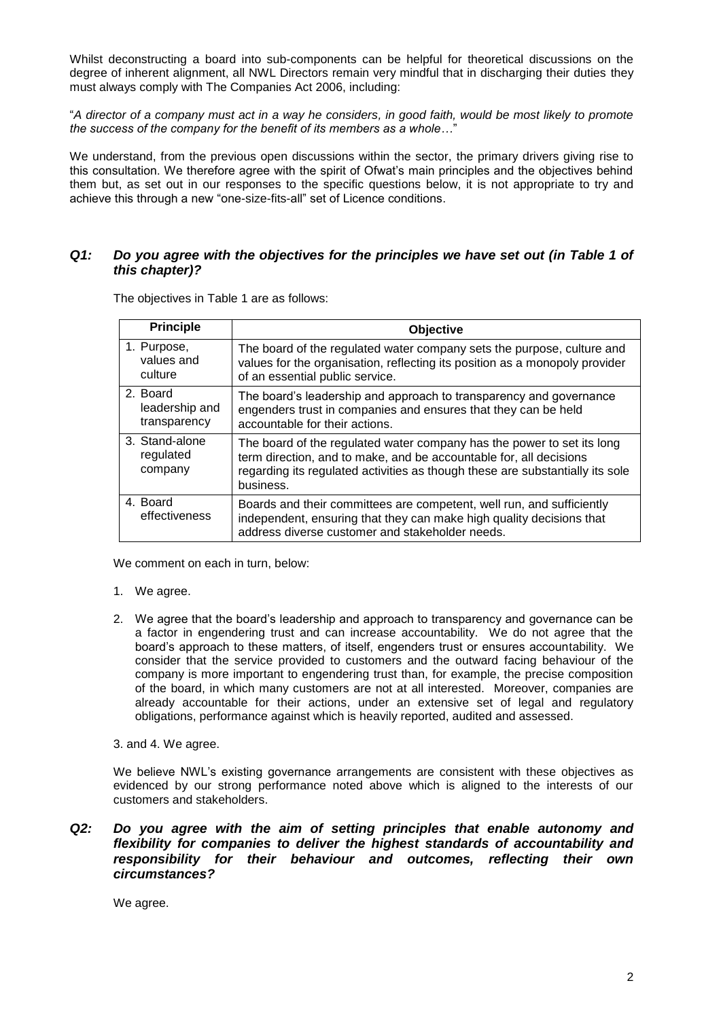Whilst deconstructing a board into sub-components can be helpful for theoretical discussions on the degree of inherent alignment, all NWL Directors remain very mindful that in discharging their duties they must always comply with The Companies Act 2006, including:

"*A director of a company must act in a way he considers, in good faith, would be most likely to promote the success of the company for the benefit of its members as a whole…*"

We understand, from the previous open discussions within the sector, the primary drivers giving rise to this consultation. We therefore agree with the spirit of Ofwat's main principles and the objectives behind them but, as set out in our responses to the specific questions below, it is not appropriate to try and achieve this through a new "one-size-fits-all" set of Licence conditions.

# *Q1: Do you agree with the objectives for the principles we have set out (in Table 1 of this chapter)?*

| <b>Principle</b>                           | <b>Objective</b>                                                                                                                                                                                                                           |
|--------------------------------------------|--------------------------------------------------------------------------------------------------------------------------------------------------------------------------------------------------------------------------------------------|
| 1. Purpose,<br>values and<br>culture       | The board of the regulated water company sets the purpose, culture and<br>values for the organisation, reflecting its position as a monopoly provider<br>of an essential public service.                                                   |
| 2. Board<br>leadership and<br>transparency | The board's leadership and approach to transparency and governance<br>engenders trust in companies and ensures that they can be held<br>accountable for their actions.                                                                     |
| 3. Stand-alone<br>regulated<br>company     | The board of the regulated water company has the power to set its long<br>term direction, and to make, and be accountable for, all decisions<br>regarding its regulated activities as though these are substantially its sole<br>business. |
| 4. Board<br>effectiveness                  | Boards and their committees are competent, well run, and sufficiently<br>independent, ensuring that they can make high quality decisions that<br>address diverse customer and stakeholder needs.                                           |

The objectives in Table 1 are as follows:

We comment on each in turn, below:

- 1. We agree.
- 2. We agree that the board's leadership and approach to transparency and governance can be a factor in engendering trust and can increase accountability. We do not agree that the board's approach to these matters, of itself, engenders trust or ensures accountability. We consider that the service provided to customers and the outward facing behaviour of the company is more important to engendering trust than, for example, the precise composition of the board, in which many customers are not at all interested. Moreover, companies are already accountable for their actions, under an extensive set of legal and regulatory obligations, performance against which is heavily reported, audited and assessed.
- 3. and 4. We agree.

We believe NWL's existing governance arrangements are consistent with these objectives as evidenced by our strong performance noted above which is aligned to the interests of our customers and stakeholders.

*Q2: Do you agree with the aim of setting principles that enable autonomy and flexibility for companies to deliver the highest standards of accountability and responsibility for their behaviour and outcomes, reflecting their own circumstances?*

We agree.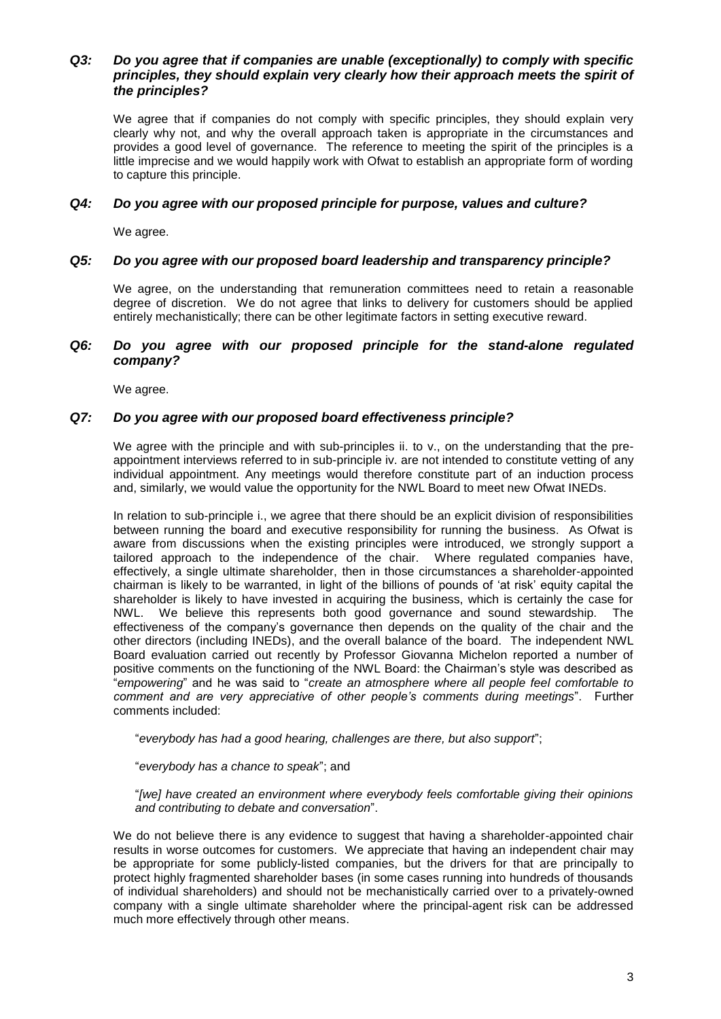# *Q3: Do you agree that if companies are unable (exceptionally) to comply with specific principles, they should explain very clearly how their approach meets the spirit of the principles?*

We agree that if companies do not comply with specific principles, they should explain very clearly why not, and why the overall approach taken is appropriate in the circumstances and provides a good level of governance. The reference to meeting the spirit of the principles is a little imprecise and we would happily work with Ofwat to establish an appropriate form of wording to capture this principle.

## *Q4: Do you agree with our proposed principle for purpose, values and culture?*

We agree.

#### *Q5: Do you agree with our proposed board leadership and transparency principle?*

We agree, on the understanding that remuneration committees need to retain a reasonable degree of discretion. We do not agree that links to delivery for customers should be applied entirely mechanistically; there can be other legitimate factors in setting executive reward.

### *Q6: Do you agree with our proposed principle for the stand-alone regulated company?*

We agree.

#### *Q7: Do you agree with our proposed board effectiveness principle?*

We agree with the principle and with sub-principles ii. to v., on the understanding that the preappointment interviews referred to in sub-principle iv. are not intended to constitute vetting of any individual appointment. Any meetings would therefore constitute part of an induction process and, similarly, we would value the opportunity for the NWL Board to meet new Ofwat INEDs.

In relation to sub-principle i., we agree that there should be an explicit division of responsibilities between running the board and executive responsibility for running the business. As Ofwat is aware from discussions when the existing principles were introduced, we strongly support a tailored approach to the independence of the chair. Where regulated companies have, effectively, a single ultimate shareholder, then in those circumstances a shareholder-appointed chairman is likely to be warranted, in light of the billions of pounds of 'at risk' equity capital the shareholder is likely to have invested in acquiring the business, which is certainly the case for NWL. We believe this represents both good governance and sound stewardship. The effectiveness of the company's governance then depends on the quality of the chair and the other directors (including INEDs), and the overall balance of the board. The independent NWL Board evaluation carried out recently by Professor Giovanna Michelon reported a number of positive comments on the functioning of the NWL Board: the Chairman's style was described as "*empowering*" and he was said to "*create an atmosphere where all people feel comfortable to comment and are very appreciative of other people's comments during meetings*". Further comments included:

"*everybody has had a good hearing, challenges are there, but also support*";

"*everybody has a chance to speak*"; and

"*[we] have created an environment where everybody feels comfortable giving their opinions and contributing to debate and conversation*".

We do not believe there is any evidence to suggest that having a shareholder-appointed chair results in worse outcomes for customers. We appreciate that having an independent chair may be appropriate for some publicly-listed companies, but the drivers for that are principally to protect highly fragmented shareholder bases (in some cases running into hundreds of thousands of individual shareholders) and should not be mechanistically carried over to a privately-owned company with a single ultimate shareholder where the principal-agent risk can be addressed much more effectively through other means.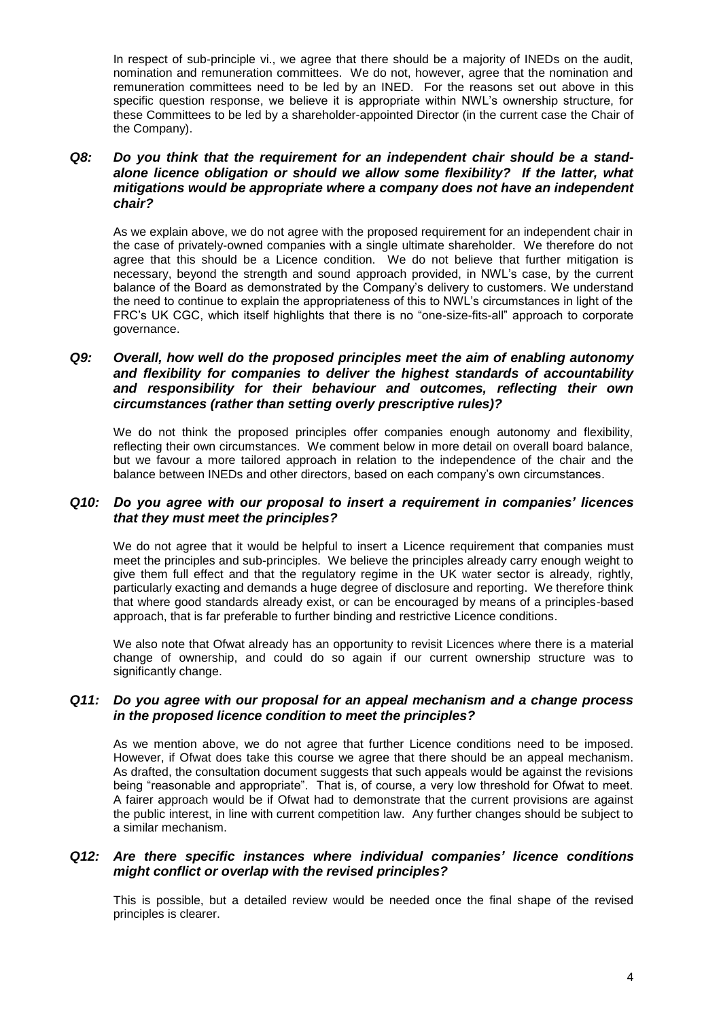In respect of sub-principle vi., we agree that there should be a majority of INEDs on the audit, nomination and remuneration committees. We do not, however, agree that the nomination and remuneration committees need to be led by an INED. For the reasons set out above in this specific question response, we believe it is appropriate within NWL's ownership structure, for these Committees to be led by a shareholder-appointed Director (in the current case the Chair of the Company).

# *Q8: Do you think that the requirement for an independent chair should be a standalone licence obligation or should we allow some flexibility? If the latter, what mitigations would be appropriate where a company does not have an independent chair?*

As we explain above, we do not agree with the proposed requirement for an independent chair in the case of privately-owned companies with a single ultimate shareholder. We therefore do not agree that this should be a Licence condition. We do not believe that further mitigation is necessary, beyond the strength and sound approach provided, in NWL's case, by the current balance of the Board as demonstrated by the Company's delivery to customers. We understand the need to continue to explain the appropriateness of this to NWL's circumstances in light of the FRC's UK CGC, which itself highlights that there is no "one-size-fits-all" approach to corporate governance.

# *Q9: Overall, how well do the proposed principles meet the aim of enabling autonomy and flexibility for companies to deliver the highest standards of accountability and responsibility for their behaviour and outcomes, reflecting their own circumstances (rather than setting overly prescriptive rules)?*

We do not think the proposed principles offer companies enough autonomy and flexibility, reflecting their own circumstances. We comment below in more detail on overall board balance, but we favour a more tailored approach in relation to the independence of the chair and the balance between INEDs and other directors, based on each company's own circumstances.

# *Q10: Do you agree with our proposal to insert a requirement in companies' licences that they must meet the principles?*

We do not agree that it would be helpful to insert a Licence requirement that companies must meet the principles and sub-principles. We believe the principles already carry enough weight to give them full effect and that the regulatory regime in the UK water sector is already, rightly, particularly exacting and demands a huge degree of disclosure and reporting. We therefore think that where good standards already exist, or can be encouraged by means of a principles-based approach, that is far preferable to further binding and restrictive Licence conditions.

We also note that Ofwat already has an opportunity to revisit Licences where there is a material change of ownership, and could do so again if our current ownership structure was to significantly change.

## *Q11: Do you agree with our proposal for an appeal mechanism and a change process in the proposed licence condition to meet the principles?*

As we mention above, we do not agree that further Licence conditions need to be imposed. However, if Ofwat does take this course we agree that there should be an appeal mechanism. As drafted, the consultation document suggests that such appeals would be against the revisions being "reasonable and appropriate". That is, of course, a very low threshold for Ofwat to meet. A fairer approach would be if Ofwat had to demonstrate that the current provisions are against the public interest, in line with current competition law. Any further changes should be subject to a similar mechanism.

## *Q12: Are there specific instances where individual companies' licence conditions might conflict or overlap with the revised principles?*

This is possible, but a detailed review would be needed once the final shape of the revised principles is clearer.